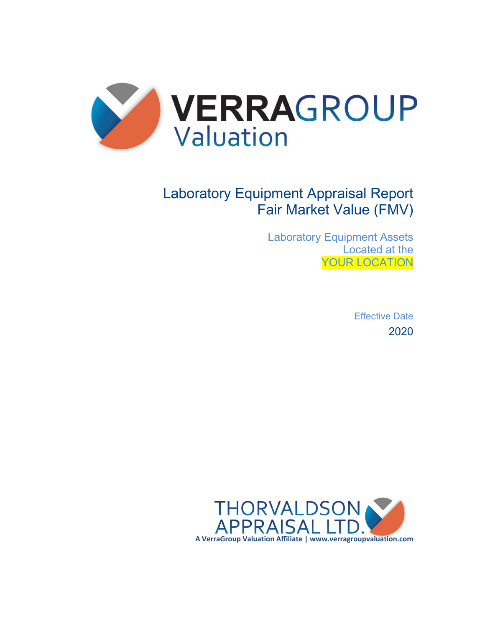

# Laboratory Equipment Appraisal Report Fair Market Value (FMV)

Laboratory Equipment Assets Located at the YOUR LOCATION

> Effective Date 2020

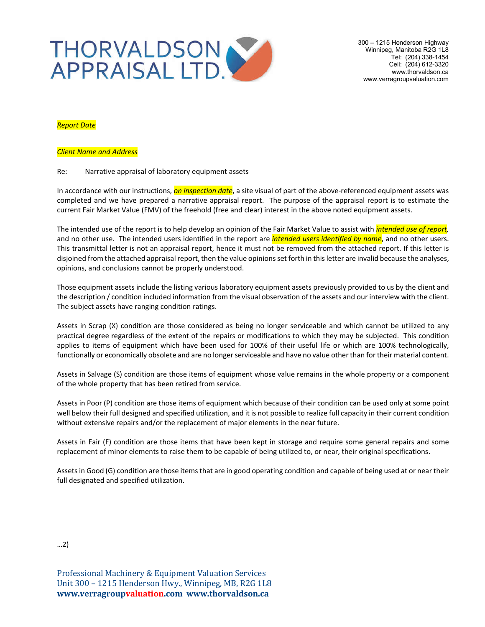

300 – 1215 Henderson Highway Winnipeg, Manitoba R2G 1L8 Tel: (204) 338-1454 Cell: (204) 612-3320 www.thorvaldson.ca www.verragroupvaluation.com

#### *Report Date*

#### *Client Name and Address*

#### Re: Narrative appraisal of laboratory equipment assets

In accordance with our instructions, *on inspection date*, a site visual of part of the above-referenced equipment assets was completed and we have prepared a narrative appraisal report. The purpose of the appraisal report is to estimate the current Fair Market Value (FMV) of the freehold (free and clear) interest in the above noted equipment assets.

The intended use of the report is to help develop an opinion of the Fair Market Value to assist with *intended use of report,* and no other use. The intended users identified in the report are *intended users identified by name*, and no other users. This transmittal letter is not an appraisal report, hence it must not be removed from the attached report. If this letter is disjoined from the attached appraisal report, then the value opinions set forth in this letter are invalid because the analyses, opinions, and conclusions cannot be properly understood.

Those equipment assets include the listing various laboratory equipment assets previously provided to us by the client and the description / condition included information from the visual observation of the assets and our interview with the client. The subject assets have ranging condition ratings.

Assets in Scrap (X) condition are those considered as being no longer serviceable and which cannot be utilized to any practical degree regardless of the extent of the repairs or modifications to which they may be subjected. This condition applies to items of equipment which have been used for 100% of their useful life or which are 100% technologically, functionally or economically obsolete and are no longer serviceable and have no value other than for their material content.

Assets in Salvage (S) condition are those items of equipment whose value remains in the whole property or a component of the whole property that has been retired from service.

Assets in Poor (P) condition are those items of equipment which because of their condition can be used only at some point well below their full designed and specified utilization, and it is not possible to realize full capacity in their current condition without extensive repairs and/or the replacement of major elements in the near future.

Assets in Fair (F) condition are those items that have been kept in storage and require some general repairs and some replacement of minor elements to raise them to be capable of being utilized to, or near, their original specifications.

Assets in Good (G) condition are those items that are in good operating condition and capable of being used at or near their full designated and specified utilization.

…2)

Professional Machinery & Equipment Valuation Services Unit 300 – 1215 Henderson Hwy., Winnipeg, MB, R2G 1L8 **www.verragroupvaluation.com www.thorvaldson.ca**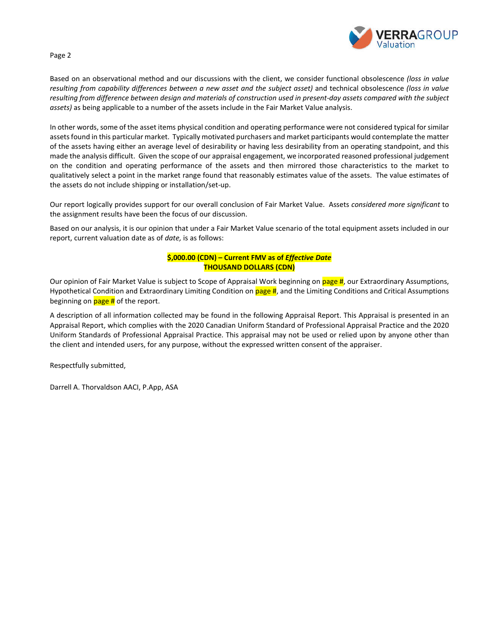

Page 2

Based on an observational method and our discussions with the client, we consider functional obsolescence *(loss in value resulting from capability differences between a new asset and the subject asset)* and technical obsolescence *(loss in value resulting from difference between design and materials of construction used in present-day assets compared with the subject assets)* as being applicable to a number of the assets include in the Fair Market Value analysis.

In other words, some of the asset items physical condition and operating performance were not considered typical for similar assets found in this particular market. Typically motivated purchasers and market participants would contemplate the matter of the assets having either an average level of desirability or having less desirability from an operating standpoint, and this made the analysis difficult. Given the scope of our appraisal engagement, we incorporated reasoned professional judgement on the condition and operating performance of the assets and then mirrored those characteristics to the market to qualitatively select a point in the market range found that reasonably estimates value of the assets. The value estimates of the assets do not include shipping or installation/set-up.

Our report logically provides support for our overall conclusion of Fair Market Value. Assets *considered more significant* to the assignment results have been the focus of our discussion.

Based on our analysis, it is our opinion that under a Fair Market Value scenario of the total equipment assets included in our report, current valuation date as of *date,* is as follows:

#### **\$,000.00 (CDN) – Current FMV as of** *Effective Date* **THOUSAND DOLLARS (CDN)**

Our opinion of Fair Market Value is subject to Scope of Appraisal Work beginning on page #, our Extraordinary Assumptions, Hypothetical Condition and Extraordinary Limiting Condition on page #, and the Limiting Conditions and Critical Assumptions beginning on  $page #$  of the report.

A description of all information collected may be found in the following Appraisal Report. This Appraisal is presented in an Appraisal Report, which complies with the 2020 Canadian Uniform Standard of Professional Appraisal Practice and the 2020 Uniform Standards of Professional Appraisal Practice. This appraisal may not be used or relied upon by anyone other than the client and intended users, for any purpose, without the expressed written consent of the appraiser.

Respectfully submitted,

Darrell A. Thorvaldson AACI, P.App, ASA